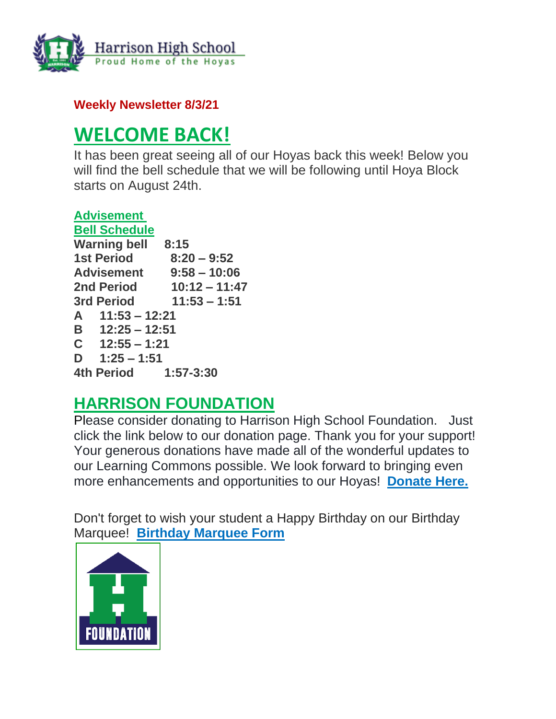

**Weekly Newsletter 8/3/21**

# **WELCOME BACK!**

It has been great seeing all of our Hoyas back this week! Below you will find the bell schedule that we will be following until Hoya Block starts on August 24th.

| <b>Advisement</b>    |                 |
|----------------------|-----------------|
| <b>Bell Schedule</b> |                 |
| <b>Warning bell</b>  | 8:15            |
| <b>1st Period</b>    | $8:20 - 9:52$   |
| <b>Advisement</b>    | $9:58 - 10:06$  |
| <b>2nd Period</b>    | $10:12 - 11:47$ |
| <b>3rd Period</b>    | $11:53 - 1:51$  |
| $A = 11:53 - 12:21$  |                 |
| $B = 12:25 - 12:51$  |                 |
| $C = 12:55 - 1:21$   |                 |
| D $1:25 - 1:51$      |                 |
| 4th Period           | $1:57 - 3:30$   |
|                      |                 |

## **HARRISON FOUNDATION**

Please consider donating to Harrison High School Foundation. Just click the link below to our donation page. Thank you for your support! Your generous donations have made all of the wonderful updates to our Learning Commons possible. We look forward to bringing even more enhancements and opportunities to our Hoyas! **[Donate Here.](http://url503.cobbk12.org/ls/click?upn=Q-2BKaVIKfS2AqG1NntRWXIuucmBLXHt0VTW51eWbEyXA9vECQY59-2B780kb-2FbreNPOEKe8lsI4uWP1Ku4nVNI6n1p135gIbhb9yRdg0Hwig5lWZNq-2BmmUO1mPKKjIFtALTnrnIJgNjaopLCgi3QEopyr4K6ftSik7X5eAGTsJjWYm0iGJFpWqo-2BRhjJySmG3envphcZZQMOZvyOOp5T9nzLkvCp28cxgFWEnLb2gm4ZMt4UzQy2C0Pks3WSAWTDdD6A460NQZ1-2Bu0XKuIS7p-2BGHwgAyTymplMw9Ced72WWwrxD8Uq8r0baQerDN-2B1j-2FyW2mDJ9zYRwPW3Dxedn37ZoX0YbmX9xeM5CIn1g5kDTzEn9gMSwtvmCXvpBaiRLIGAyXXW-2BK67vaITb3t0PFb-2BP7FJqURS5-2Fly-2FoJc6XTBQ-2FunN1QiyVTho2S8lQSNjgYwQc-2FXcBHHeXIyej03qr7Dw6Hu3-2BU9yu3JUPzT1X9TPudA-3DYlYb_W-2BfLYUoUwwI1tuGClKRhhPOSepcZIFoXnUIMjiA717kQ1i13BNQTwwJ9cl-2BWArXrjMDzmdYDAz26vF1M-2BNMQlp4yJlkQdG8V-2F2Es3cmwJPljw3FU4pKBt2HhCi6Ty1fLvXYjDWQ6-2B8d1WTsICUocErCEZhpVPKPaV5gX02RHO8lgE361ldQ2LIQQl-2BiqkWFlo9sdOYab9x7nyXna7CUFPpG4XKw4y26zjVdwPnbhISLmNoitzbKSR-2Bg-2FG89KfwzGcLeL35uSnHdM6gFgqtw2Vw-3D-3D)**

Don't forget to wish your student a Happy Birthday on our Birthday Marquee! **[Birthday Marquee Form](http://url503.cobbk12.org/ls/click?upn=Q-2BKaVIKfS2AqG1NntRWXIuucmBLXHt0VTW51eWbEyXA9vECQY59-2B780kb-2FbreNPOEKe8lsI4uWP1Ku4nVNI6n9ZM-2Bf6t8k2Mf60kGEl-2BbB6n-2Bcw5TNbA1LOGstYOS0LuCZVTkfICdBZjtkBUUiJMf5XkmYZMQKWt7xXjslumnkcAJMCLQEclgUwqjiYMyN3-2FRHHaTAekXZpbW4gR3l4eo1kFOLd-2FxeBPLFOQz6H8viVWYuSSTnSg2Ujd1KIxs4frbqRWBdvhKUjNFTzHnuuVXtpUBgfMaZFGc1HrcbaqeORqBPRhDAxwktdpUOMlxk-2B9CEMU-2BK6J3OoueRbBluxh-2BIlHnXLF5fvUM3GJ-2B6UQR9YCPwImSqabB7d9HLmQlBJuhghhHAD1N7m8BEd0mmaTzHrDE6rG4vlXbE-2B32Fd-2B2bHRByO3-2Bp-2B3Q1PjoiD8h3qubaJQdI-2BhGjgkumhEEycAPQ-3D-3Dq4NO_W-2BfLYUoUwwI1tuGClKRhhPOSepcZIFoXnUIMjiA717kQ1i13BNQTwwJ9cl-2BWArXrjMDzmdYDAz26vF1M-2BNMQlp4yJlkQdG8V-2F2Es3cmwJPljw3FU4pKBt2HhCi6Ty1fLAQLsqC8kHHJV4XRXUA2czDH-2BNuqxngCV-2BP-2F9HQirrDohasnbqqyc9TTTp3GQGml2lF0nj7HshO0QYSbWX2cuvejj5xZ3AKSeR6Qxch3riXoK9cKuKaAAh8NUSmwoG670hUaC8la-2F3IscaiScPWXVPw-3D-3D)**

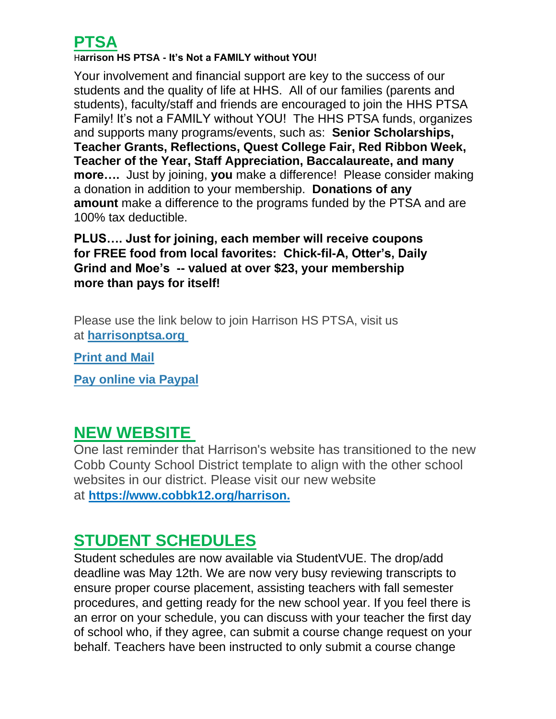## **PTSA**

#### H**arrison HS PTSA - It's Not a FAMILY without YOU!**

Your involvement and financial support are key to the success of our students and the quality of life at HHS. All of our families (parents and students), faculty/staff and friends are encouraged to join the HHS PTSA Family! It's not a FAMILY without YOU! The HHS PTSA funds, organizes and supports many programs/events, such as: **Senior Scholarships, Teacher Grants, Reflections, Quest College Fair, Red Ribbon Week, Teacher of the Year, Staff Appreciation, Baccalaureate, and many more….** Just by joining, **you** make a difference! Please consider making a donation in addition to your membership. **Donations of any amount** make a difference to the programs funded by the PTSA and are 100% tax deductible.

### **PLUS…. Just for joining, each member will receive coupons for FREE food from local favorites: Chick-fil-A, Otter's, Daily Grind and Moe's -- valued at over \$23, your membership more than pays for itself!**

Please use the link below to join Harrison HS PTSA, visit us at **[harrisonptsa.org](http://url503.cobbk12.org/ls/click?upn=oq5wnnHoD1NAxpT8rNAGXJWwsG5b-2FroT1CF2NF6Yld31lJ8koaDYCo834Pbyx8Mi8XSu_W-2BfLYUoUwwI1tuGClKRhhPOSepcZIFoXnUIMjiA717kQ1i13BNQTwwJ9cl-2BWArXrjMDzmdYDAz26vF1M-2BNMQlp4yJlkQdG8V-2F2Es3cmwJPljw3FU4pKBt2HhCi6Ty1fLfRD-2FGSwrO-2BKf6WV8X4DlHuChEfg4ji02dOfxIg4OFuwodSTT-2F6CYA7OjcvoYdo-2BFtjHZtB5ZQKcHwtoahaAQQP5a-2FqVixlfi7F2tVebyNxAplEDjxXH2F2Y5S7nl19mcpUjMutBSxjHNtd6qiED3JA-3D-3D)**

**[Print and Mail](http://url503.cobbk12.org/ls/click?upn=oq5wnnHoD1NAxpT8rNAGXJWwsG5b-2FroT1CF2NF6Yld14gse4QZS08dszHhRnpKhTYW3b78LN4YPpyhp4VLkhIfkfI74jrE5WwsbBqWozhPBVcHSuKNRS79hXrFvNRmZNTOrPzfLoub52F11D8OdhXQ-3D-3DEGI0_W-2BfLYUoUwwI1tuGClKRhhPOSepcZIFoXnUIMjiA717kQ1i13BNQTwwJ9cl-2BWArXrjMDzmdYDAz26vF1M-2BNMQlp4yJlkQdG8V-2F2Es3cmwJPljw3FU4pKBt2HhCi6Ty1fLCDEsI3SoB6KAaFFZL11rYY2-2BNYPqdGIN1oOqGDTNay4eWm-2BpsGi5FqC1IZcti417x14uJYUlet3wq2efGFocYfN0l9Utxl8QHZuxYJD9ewfQp7d3ihOLfc3DXjazt2ABcn0wCVinPUZQTMFT32dwzQ-3D-3D)**

**[Pay online via Paypal](http://url503.cobbk12.org/ls/click?upn=Lr5Kj85exJaDj793QUoDMyM6tVfiYr-2BWgZ9rxJSqAJNYsSRmIXv5b7dRcuEui7-2F572HD_W-2BfLYUoUwwI1tuGClKRhhPOSepcZIFoXnUIMjiA717kQ1i13BNQTwwJ9cl-2BWArXrjMDzmdYDAz26vF1M-2BNMQlp4yJlkQdG8V-2F2Es3cmwJPljw3FU4pKBt2HhCi6Ty1fLGdYNy6H3-2BZxaYq27Sr4M-2Bmf-2FVlXzDvgQI9VHePcbyVMkQMqv62N8eOopv73SF10kCx2MTHPJJaHd-2BAiiacgAq3qanyotwUTLzK1SwD1JZ6FVc-2Fa6PtH1-2FJNh0GaKH1dVKtzMcszuhdXucnBdXtbBAQ-3D-3D)**

### **NEW WEBSITE**

One last reminder that Harrison's website has transitioned to the new Cobb County School District template to align with the other school websites in our district. Please visit our new website at **[https://www.cobbk12.org/harrison.](http://url503.cobbk12.org/ls/click?upn=oq5wnnHoD1NAxpT8rNAGXMR1eG7MJW44UQRvGTy3TsqQ9jZ2WIdGcqV8ptBmt7C9CzTL_W-2BfLYUoUwwI1tuGClKRhhPOSepcZIFoXnUIMjiA717kQ1i13BNQTwwJ9cl-2BWArXrjMDzmdYDAz26vF1M-2BNMQlp4yJlkQdG8V-2F2Es3cmwJPljw3FU4pKBt2HhCi6Ty1fLmUIlH5SIGiFLOAxwK1NbD-2BW0q1h08bWwduXlgQacqwtcmXGyN2OPHzqFP-2FE8FuCXC6dJh1ZQ2J05r3cXRr6TxhxdsdK19Kk6HMWCrcru5Dmv-2BGczShemawonqN-2Fv-2BtPimvEgkJLqP0wzoDbny0tubQ-3D-3D)**

## **STUDENT SCHEDULES**

Student schedules are now available via StudentVUE. The drop/add deadline was May 12th. We are now very busy reviewing transcripts to ensure proper course placement, assisting teachers with fall semester procedures, and getting ready for the new school year. If you feel there is an error on your schedule, you can discuss with your teacher the first day of school who, if they agree, can submit a course change request on your behalf. Teachers have been instructed to only submit a course change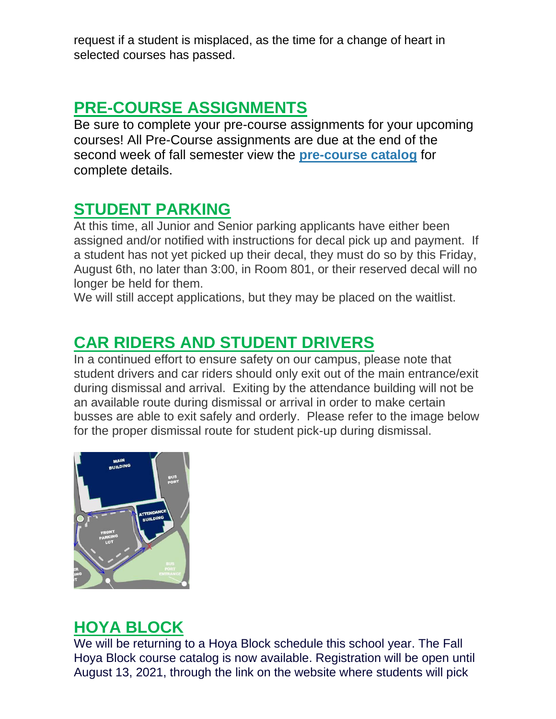request if a student is misplaced, as the time for a change of heart in selected courses has passed.

# **PRE-COURSE ASSIGNMENTS**

Be sure to complete your pre-course assignments for your upcoming courses! All Pre-Course assignments are due at the end of the second week of fall semester view the **pre-course catalog** for complete details.

## **STUDENT PARKING**

At this time, all Junior and Senior parking applicants have either been assigned and/or notified with instructions for decal pick up and payment. If a student has not yet picked up their decal, they must do so by this Friday, August 6th, no later than 3:00, in Room 801, or their reserved decal will no longer be held for them.

We will still accept applications, but they may be placed on the waitlist.

# **CAR RIDERS AND STUDENT DRIVERS**

In a continued effort to ensure safety on our campus, please note that student drivers and car riders should only exit out of the main entrance/exit during dismissal and arrival. Exiting by the attendance building will not be an available route during dismissal or arrival in order to make certain busses are able to exit safely and orderly. Please refer to the image below for the proper dismissal route for student pick-up during dismissal.



# **HOYA BLOCK**

We will be returning to a Hoya Block schedule this school year. The Fall Hoya Block course catalog is now available. Registration will be open until August 13, 2021, through the link on the website where students will pick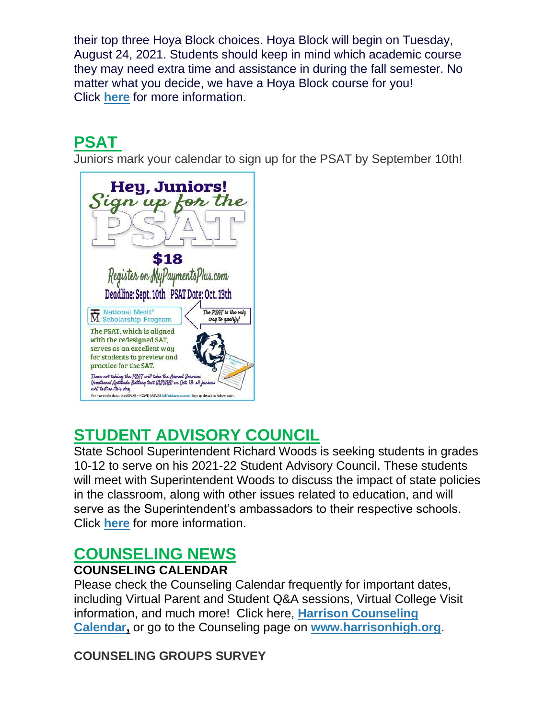their top three Hoya Block choices. Hoya Block will begin on Tuesday, August 24, 2021. Students should keep in mind which academic course they may need extra time and assistance in during the fall semester. No matter what you decide, we have a Hoya Block course for you! Click **[here](http://url503.cobbk12.org/ls/click?upn=oq5wnnHoD1NAxpT8rNAGXO9pgQjsMrFEdSeXOUfDN1RNYi1mliRq8sVsqzpI6uB-2BrGWS8bzmiDnBwjpWeaH-2FUg-3D-3DqHZR_W-2BfLYUoUwwI1tuGClKRhhPOSepcZIFoXnUIMjiA717kQ1i13BNQTwwJ9cl-2BWArXrjMDzmdYDAz26vF1M-2BNMQlp4yJlkQdG8V-2F2Es3cmwJPljw3FU4pKBt2HhCi6Ty1fLjUDjOIydD6QtJ0Ocs8IX-2F9MT7HeQXdJti69HjdwxIxoOxHPSXqQx9qFn5yXVAkmUNhfpRZkQTNBvgRCTT3vKjNXkc-2F315yqZGG4AesPpcZsqDlshsUfkD-2Fv4ZICX5vjJNqK-2B8lCsx8gylZVyeki1tA-3D-3D)** for more information.

# **PSAT**

Juniors mark your calendar to sign up for the PSAT by September 10th!



# **STUDENT ADVISORY COUNCIL**

State School Superintendent Richard Woods is seeking students in grades 10-12 to serve on his 2021-22 Student Advisory Council. These students will meet with Superintendent Woods to discuss the impact of state policies in the classroom, along with other issues related to education, and will serve as the Superintendent's ambassadors to their respective schools. Click **[here](http://url503.cobbk12.org/ls/click?upn=Q-2BKaVIKfS2AqG1NntRWXIqe3VLrAF6HtQZXW1Eop37-2BHD1-2FJeBI8RcsNCzxppcBz0DlAzN5HVHa4jFBsYhEq-2FUVgWthq2RRvM9F0zX8M0Vjt3pq3PwjaP2vD899wlGCKL-2FbQkJCv-2FULXRwyGRUhRdD79jLfwSMsaoYuk041bP8VBnXEMtiZxjxFmTqNQIiDl05moPvNR7iQpF1RBfD1M-2F1ZltHUDmR2kDQHZGWBrTmckHXKw9W-2Ff6olQiP5lcFsvpbzurs0m-2FTUqvFaxeYLaLbxZvuPe2dYGl9mFrCbRiJ5pFURi4GvfIF9m8FHzvD2GHPTPAcQrPwBHaWyYYcAtgojlrTC18aFsFB8CalOhv61O-2FxDCOE3HTmJVYi-2BCu8unjtzDvWlQ8n3x5EcIUTXdGpTd-2F5QA-2FrecXOvTwEMOWah96qCoIjOQDgd3D6rvUOmmq3yK4w7kB0ygDlT71pFShH35UB8oscMBWUz0X9fkwnLNCfdpXJNKtLnl-2BALDTpAAFncw6fbG4cRD4kMDx4svm2NRxStOqH23ZZEEWFbHqwIU-2BR8eEND0K8qcNLQlEXFZhDGZC5MwG01ZySXpwJdvyObOG7-2B8trq2fYpPF5J6ww2z71HJT0EUpfBsEsZ9kWVlJQxD_W-2BfLYUoUwwI1tuGClKRhhPOSepcZIFoXnUIMjiA717kQ1i13BNQTwwJ9cl-2BWArXrjMDzmdYDAz26vF1M-2BNMQlp4yJlkQdG8V-2F2Es3cmwJPljw3FU4pKBt2HhCi6Ty1fLEpwFYBFqe2NOmeG2XnKaS-2BPxhKATgmVMFCq1XvGYxCMFu-2Bq9d-2FHlPJ3W-2Bs-2BODMoFazkCxa7eWT3ivINesQMVmhvZ-2F8dwDFLbp0-2BKKzkx4OWFxFJgh-2FRTIVG8fwtONfZwnDVEI2s07FlZvtsDsGBYZw-3D-3D)** for more information.

## **COUNSELING NEWS**

### **COUNSELING CALENDAR**

Please check the Counseling Calendar frequently for important dates, including Virtual Parent and Student Q&A sessions, Virtual College Visit information, and much more! Click here, **[Harrison Counseling](http://url503.cobbk12.org/ls/click?upn=G8An3K6JlHsR8QtKBFuzdoB1znjZkDc3Km2Sgf1PHVpycz16KMZXgXgxh3dcC-2FS8NJmdhIjRhMEVOdXvIran0PoO612nc8dPRxDRKmrySvOyPaCPkwQVxnm5P9WY4kGuByjjBLs9jX8AnVcQz2F0xdPJWUq-2BTqmbYJsClRyFwEgRo9BS-2BibqsB2DQhPPMblVIxMp_W-2BfLYUoUwwI1tuGClKRhhPOSepcZIFoXnUIMjiA717kQ1i13BNQTwwJ9cl-2BWArXrjMDzmdYDAz26vF1M-2BNMQlp4yJlkQdG8V-2F2Es3cmwJPljw3FU4pKBt2HhCi6Ty1fL-2FBkrm8neUjsXOpN3tezQixBx1Uj5rMZBrM44m9GGLvoesu5p-2FgvQPQwExPgCPxxLypY1DfdpBdIOWBk-2B2d4jVmXSua65mavLOu5xV5xqeVKbyUU5weFefxCY7nlE-2BW5O6AN-2BdIHQM7LwEwUclA0j8w-3D-3D)  [Calendar,](http://url503.cobbk12.org/ls/click?upn=G8An3K6JlHsR8QtKBFuzdoB1znjZkDc3Km2Sgf1PHVpycz16KMZXgXgxh3dcC-2FS8NJmdhIjRhMEVOdXvIran0PoO612nc8dPRxDRKmrySvOyPaCPkwQVxnm5P9WY4kGuByjjBLs9jX8AnVcQz2F0xdPJWUq-2BTqmbYJsClRyFwEgRo9BS-2BibqsB2DQhPPMblVIxMp_W-2BfLYUoUwwI1tuGClKRhhPOSepcZIFoXnUIMjiA717kQ1i13BNQTwwJ9cl-2BWArXrjMDzmdYDAz26vF1M-2BNMQlp4yJlkQdG8V-2F2Es3cmwJPljw3FU4pKBt2HhCi6Ty1fL-2FBkrm8neUjsXOpN3tezQixBx1Uj5rMZBrM44m9GGLvoesu5p-2FgvQPQwExPgCPxxLypY1DfdpBdIOWBk-2B2d4jVmXSua65mavLOu5xV5xqeVKbyUU5weFefxCY7nlE-2BW5O6AN-2BdIHQM7LwEwUclA0j8w-3D-3D)** or go to the Counseling page on **[www.harrisonhigh.org](http://url503.cobbk12.org/ls/click?upn=oq5wnnHoD1NAxpT8rNAGXO9pgQjsMrFEdSeXOUfDN1SmFc2KsGzpApGt0h4W-2BnTi3qOMFT0pAhpU4g9jzi2oghIA-2BD5qxCmArcny4yPncCY-3DIjDL_W-2BfLYUoUwwI1tuGClKRhhPOSepcZIFoXnUIMjiA717kQ1i13BNQTwwJ9cl-2BWArXrjMDzmdYDAz26vF1M-2BNMQlp4yJlkQdG8V-2F2Es3cmwJPljw3FU4pKBt2HhCi6Ty1fLQNLzYdmyYBQE6-2BBK8u2gxFGbH6a8LIU4YV1K7JqzOM62mR5PhUad8vLIldB-2ByY6sN35P4rIOeirK8Vp7I6Pn0N6J-2BmQPkLXAHr2tjipp5P-2FQGIv2eKfRY6C7iT4vsUOtuPOvD81lnnNxYnMxWdFL9Q-3D-3D)**.

### **COUNSELING GROUPS SURVEY**